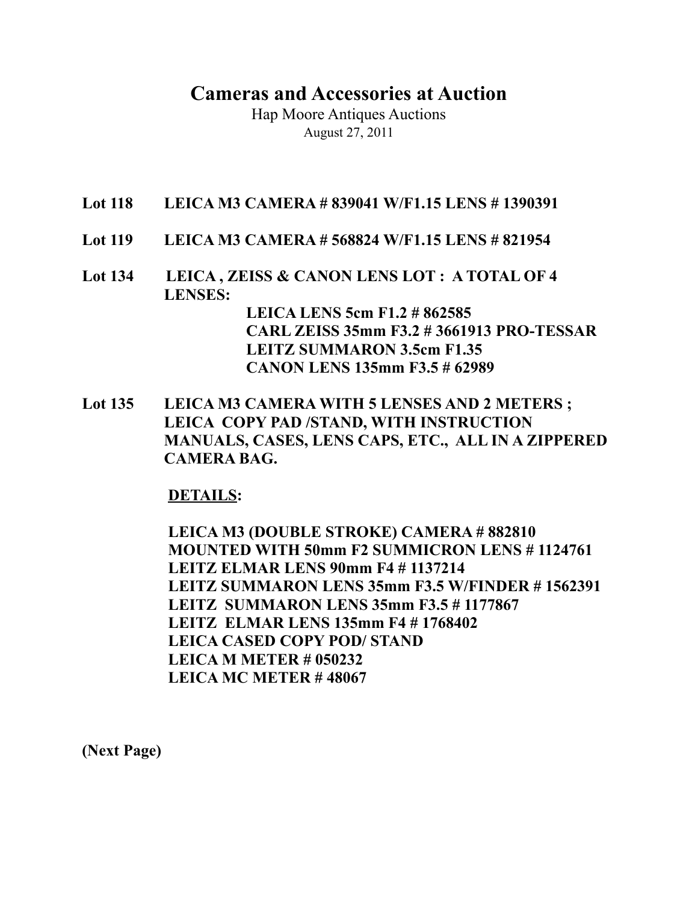## **Cameras and Accessories at Auction**

Hap Moore Antiques Auctions August 27, 2011

- **Lot 118 LEICA M3 CAMERA # 839041 W/F1.15 LENS # 1390391**
- **Lot 119 LEICA M3 CAMERA # 568824 W/F1.15 LENS # 821954**
- **Lot 134 LEICA , ZEISS & CANON LENS LOT : A TOTAL OF 4 LENSES: LEICA LENS 5cm F1.2 # 862585 CARL ZEISS 35mm F3.2 # 3661913 PRO-TESSAR LEITZ SUMMARON 3.5cm F1.35 CANON LENS 135mm F3.5 # 62989**
- Lot 135 LEICA M3 CAMERA WITH 5 LENSES AND 2 METERS ; **LEICA COPY PAD /STAND, WITH INSTRUCTION MANUALS, CASES, LENS CAPS, ETC., ALL IN A ZIPPERED CAMERA BAG.**

## **DETAILS:**

 **LEICA M3 (DOUBLE STROKE) CAMERA # 882810 MOUNTED WITH 50mm F2 SUMMICRON LENS # 1124761 LEITZ ELMAR LENS 90mm F4 # 1137214 LEITZ SUMMARON LENS 35mm F3.5 W/FINDER # 1562391 LEITZ SUMMARON LENS 35mm F3.5 # 1177867 LEITZ ELMAR LENS 135mm F4 # 1768402 LEICA CASED COPY POD/ STAND LEICA M METER # 050232 LEICA MC METER # 48067**

**(Next Page)**